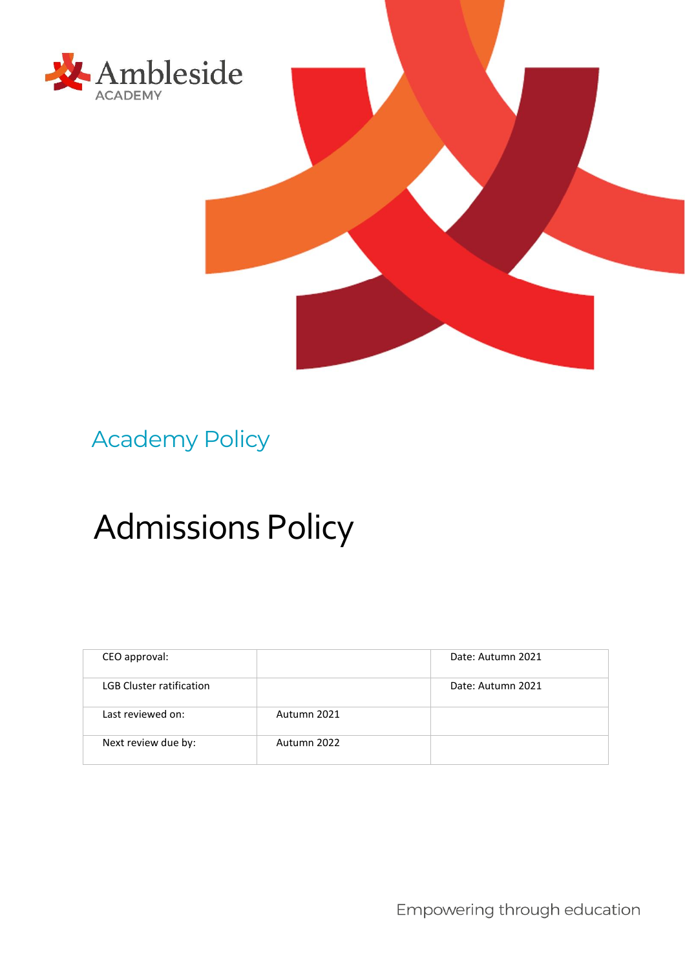



# Academy Policy

# Admissions Policy

| CEO approval:                   |             | Date: Autumn 2021 |
|---------------------------------|-------------|-------------------|
| <b>LGB Cluster ratification</b> |             | Date: Autumn 2021 |
| Last reviewed on:               | Autumn 2021 |                   |
| Next review due by:             | Autumn 2022 |                   |

Empowering through education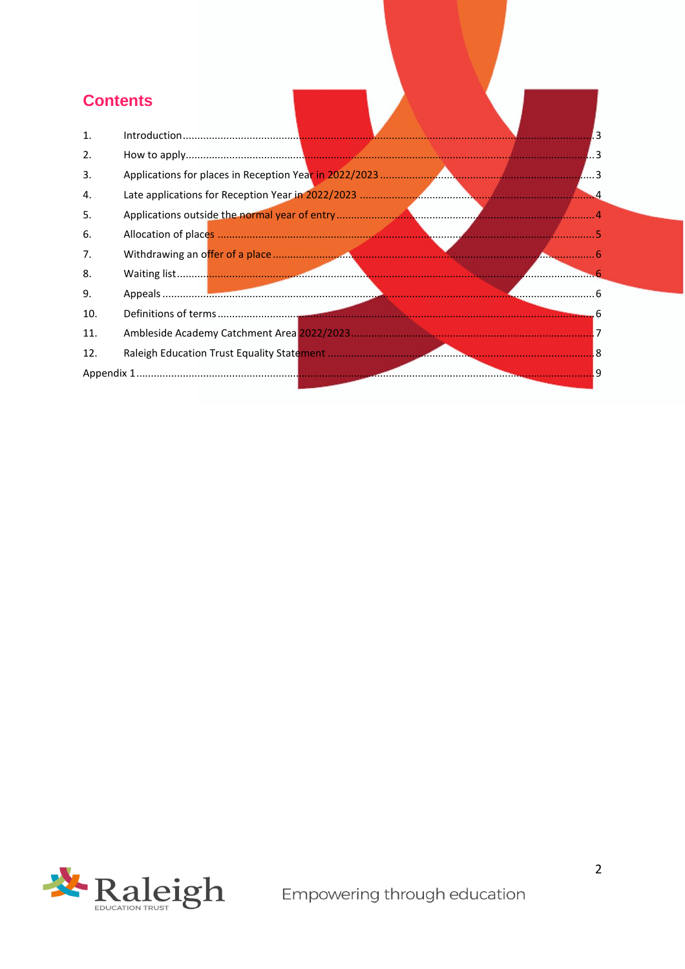## **Contents**

| 1.  |  |
|-----|--|
| 2.  |  |
| 3.  |  |
| 4.  |  |
| 5.  |  |
| 6.  |  |
| 7.  |  |
| 8.  |  |
| 9.  |  |
| 10. |  |
| 11. |  |
| 12. |  |
|     |  |

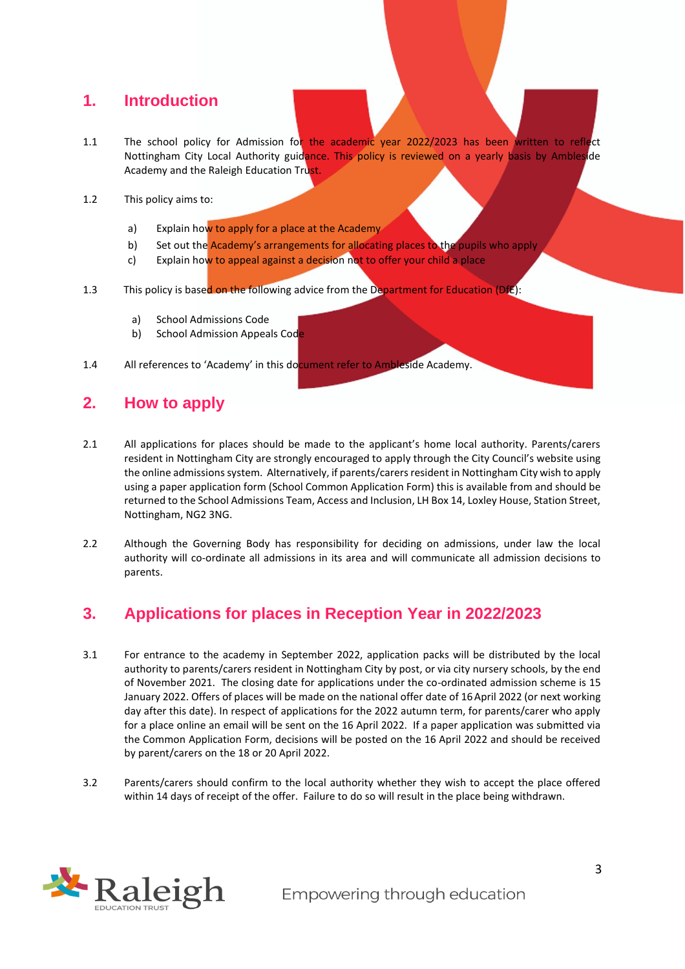#### <span id="page-2-0"></span>**1. Introduction**

- 1.1 The school policy for Admission for the academic year 2022/2023 has been written to reflect Nottingham City Local Authority guidance. This policy is reviewed on a yearly basis by Ambleside Academy and the Raleigh Education Trust.
- 1.2 This policy aims to:
	- a) Explain how to apply for a place at the Academy
	- b) Set out the Academy's arrangements for allocating places to the pupils who apply
	- c) Explain how to appeal against a decision not to offer your child a place
- 1.3 This policy is based on the following advice from the Department for Education (DfE):
	- a) School Admissions Code
	- b) School Admission Appeals Code
- 1.4 All references to 'Academy' in this document refer to Ambleside Academy.

#### <span id="page-2-1"></span>**2. How to apply**

- 2.1 All applications for places should be made to the applicant's home local authority. Parents/carers resident in Nottingham City are strongly encouraged to apply through the City Council's website using the online admissions system. Alternatively, if parents/carers resident in Nottingham City wish to apply using a paper application form (School Common Application Form) this is available from and should be returned to the School Admissions Team, Access and Inclusion, LH Box 14, Loxley House, Station Street, Nottingham, NG2 3NG.
- 2.2 Although the Governing Body has responsibility for deciding on admissions, under law the local authority will co-ordinate all admissions in its area and will communicate all admission decisions to parents.

#### <span id="page-2-2"></span>**3. Applications for places in Reception Year in 2022/2023**

- 3.1 For entrance to the academy in September 2022, application packs will be distributed by the local authority to parents/carers resident in Nottingham City by post, or via city nursery schools, by the end of November 2021. The closing date for applications under the co-ordinated admission scheme is 15 January 2022. Offers of places will be made on the national offer date of 16April 2022 (or next working day after this date). In respect of applications for the 2022 autumn term, for parents/carer who apply for a place online an email will be sent on the 16 April 2022. If a paper application was submitted via the Common Application Form, decisions will be posted on the 16 April 2022 and should be received by parent/carers on the 18 or 20 April 2022.
- 3.2 Parents/carers should confirm to the local authority whether they wish to accept the place offered within 14 days of receipt of the offer. Failure to do so will result in the place being withdrawn.

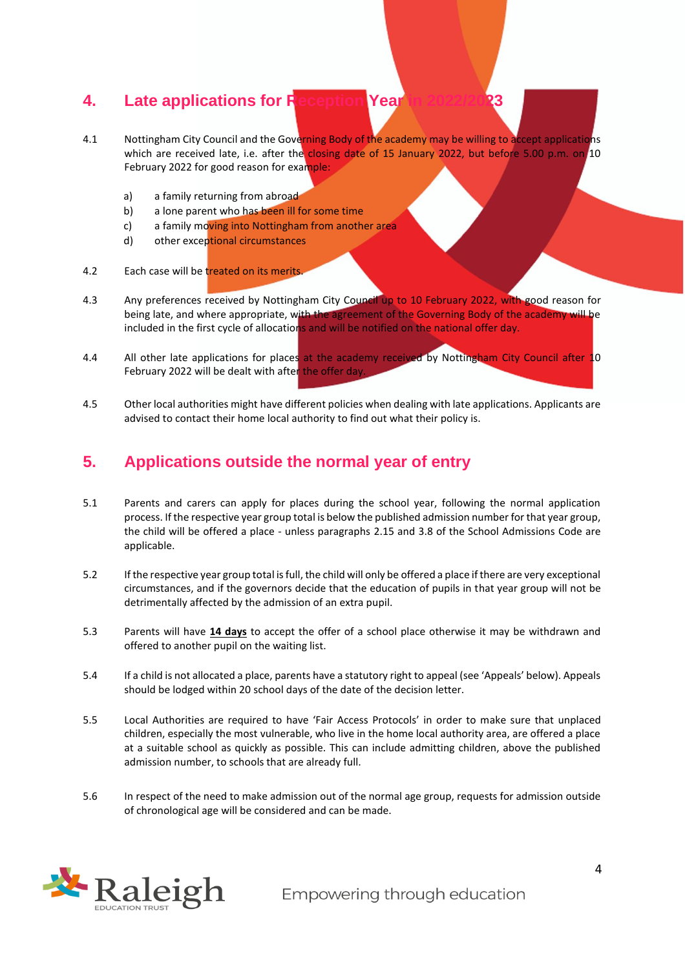#### <span id="page-3-0"></span>**4. Late applications for Reception Year**

- 4.1 Nottingham City Council and the Governing Body of the academy may be willing to accept applications which are received late, i.e. after the closing date of 15 January 2022, but before 5.00 p.m. on 10 February 2022 for good reason for example:
	- a) a family returning from abroad
	- b) a lone parent who has been ill for some time
	- c) a family moving into Nottingham from another area
	- d) other exceptional circumstances
- 4.2 Each case will be treated on its merits.
- 4.3 Any preferences received by Nottingham City Council up to 10 February 2022, with good reason for being late, and where appropriate, with the agreement of the Governing Body of the academy will be included in the first cycle of allocations and will be notified on the national offer day.
- 4.4 All other late applications for places at the academy received by Nottingham City Council after 10 February 2022 will be dealt with after the offer day.
- 4.5 Other local authorities might have different policies when dealing with late applications. Applicants are advised to contact their home local authority to find out what their policy is.

#### <span id="page-3-1"></span>**5. Applications outside the normal year of entry**

- 5.1 Parents and carers can apply for places during the school year, following the normal application process. If the respective year group total is below the published admission number for that year group, the child will be offered a place - unless paragraphs 2.15 and 3.8 of the School Admissions Code are applicable.
- 5.2 If the respective year group total is full, the child will only be offered a place if there are very exceptional circumstances, and if the governors decide that the education of pupils in that year group will not be detrimentally affected by the admission of an extra pupil.
- 5.3 Parents will have **14 days** to accept the offer of a school place otherwise it may be withdrawn and offered to another pupil on the waiting list.
- 5.4 If a child is not allocated a place, parents have a statutory right to appeal (see 'Appeals' below). Appeals should be lodged within 20 school days of the date of the decision letter.
- 5.5 Local Authorities are required to have 'Fair Access Protocols' in order to make sure that unplaced children, especially the most vulnerable, who live in the home local authority area, are offered a place at a suitable school as quickly as possible. This can include admitting children, above the published admission number, to schools that are already full.
- 5.6 In respect of the need to make admission out of the normal age group, requests for admission outside of chronological age will be considered and can be made.

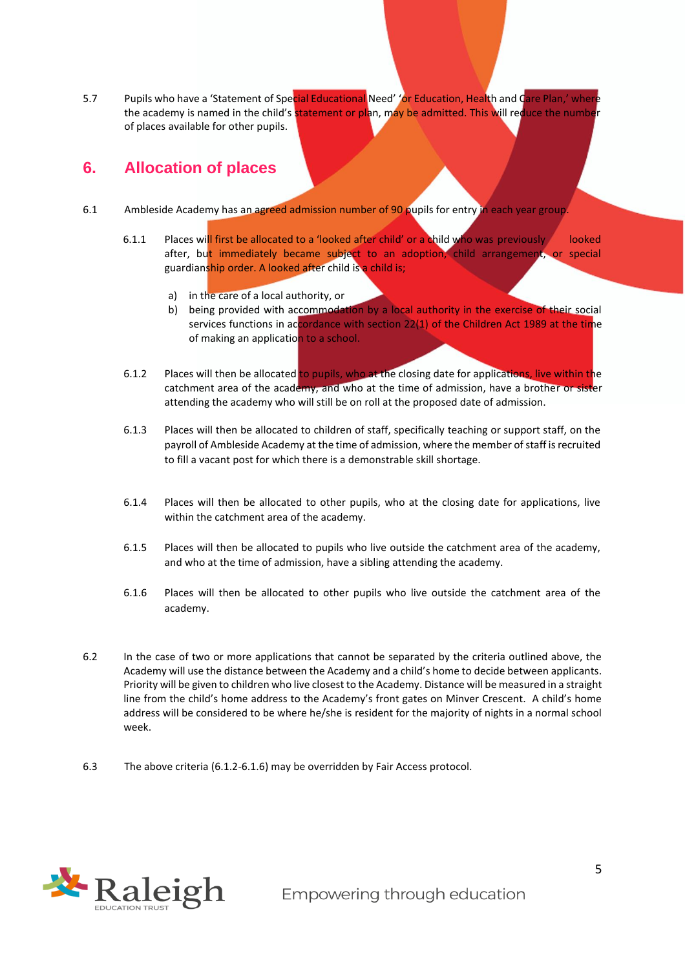5.7 Pupils who have a 'Statement of Special Educational Need' 'or Education, Health and Care Plan,' where the academy is named in the child's statement or plan, may be admitted. This will reduce the number of places available for other pupils.

#### <span id="page-4-0"></span>**6. Allocation of places**

- 6.1 Ambleside Academy has an agreed admission number of 90 pupils for entry in each year group.
	- 6.1.1 Places will first be allocated to a 'looked after child' or a child who was previously looked after, but immediately became subject to an adoption, child arrangement, or special guardianship order. A looked after child is a child is;
		- a) in the care of a local authority, or
		- b) being provided with accommodation by a local authority in the exercise of their social services functions in accordance with section  $22(1)$  of the Children Act 1989 at the time of making an application to a school.
	- 6.1.2 Places will then be allocated to pupils, who at the closing date for applications, live within the catchment area of the academy, and who at the time of admission, have a brother or sister attending the academy who will still be on roll at the proposed date of admission.
	- 6.1.3 Places will then be allocated to children of staff, specifically teaching or support staff, on the payroll of Ambleside Academy at the time of admission, where the member of staff is recruited to fill a vacant post for which there is a demonstrable skill shortage.
	- 6.1.4 Places will then be allocated to other pupils, who at the closing date for applications, live within the catchment area of the academy.
	- 6.1.5 Places will then be allocated to pupils who live outside the catchment area of the academy, and who at the time of admission, have a sibling attending the academy.
	- 6.1.6 Places will then be allocated to other pupils who live outside the catchment area of the academy.
- 6.2 In the case of two or more applications that cannot be separated by the criteria outlined above, the Academy will use the distance between the Academy and a child's home to decide between applicants. Priority will be given to children who live closest to the Academy. Distance will be measured in a straight line from the child's home address to the Academy's front gates on Minver Crescent. A child's home address will be considered to be where he/she is resident for the majority of nights in a normal school week.
- 6.3 The above criteria (6.1.2-6.1.6) may be overridden by Fair Access protocol.

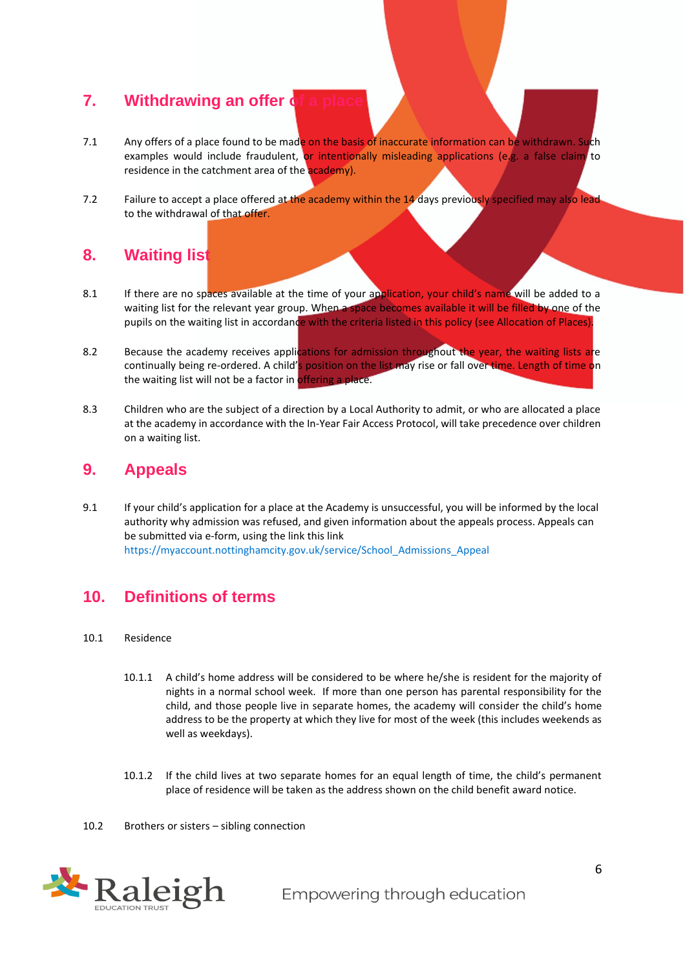#### <span id="page-5-0"></span>**7. Withdrawing an offer d**

- 7.1 Any offers of a place found to be made on the basis of inaccurate information can be withdrawn. Such examples would include fraudulent, or intentionally misleading applications (e.g. a false claim to residence in the catchment area of the academy).
- 7.2 Failure to accept a place offered at the academy within the 14 days previously specified may also leadto the withdrawal of that offer.

#### <span id="page-5-1"></span>**8. Waiting list**

- 8.1 If there are no spaces available at the time of your application, your child's name will be added to a waiting list for the relevant year group. When a space becomes available it will be filled by one of the pupils on the waiting list in accordance with the criteria listed in this policy (see Allocation of Places).
- 8.2 Because the academy receives applications for admission throughout the year, the waiting lists are continually being re-ordered. A child's position on the list may rise or fall over time. Length of time on the waiting list will not be a factor in offering a place.
- 8.3 Children who are the subject of a direction by a Local Authority to admit, or who are allocated a place at the academy in accordance with the In-Year Fair Access Protocol, will take precedence over children on a waiting list.

#### <span id="page-5-2"></span>**9. Appeals**

9.1 If your child's application for a place at the Academy is unsuccessful, you will be informed by the local authority why admission was refused, and give[n information about the appeals process. Appeals can](https://myaccount.nottinghamcity.gov.uk/service/School_Admissions_Appeal)  be submitted via e-form, using the link this link [https://myaccount.nottinghamcity.gov.uk/service/School\\_Admissions\\_Appeal](https://myaccount.nottinghamcity.gov.uk/service/School_Admissions_Appeal)

#### <span id="page-5-3"></span>**10. Definitions of terms**

- 10.1 Residence
	- 10.1.1 A child's home address will be considered to be where he/she is resident for the majority of nights in a normal school week. If more than one person has parental responsibility for the child, and those people live in separate homes, the academy will consider the child's home address to be the property at which they live for most of the week (this includes weekends as well as weekdays).
	- 10.1.2 If the child lives at two separate homes for an equal length of time, the child's permanent place of residence will be taken as the address shown on the child benefit award notice.
- 10.2 Brothers or sisters sibling connection

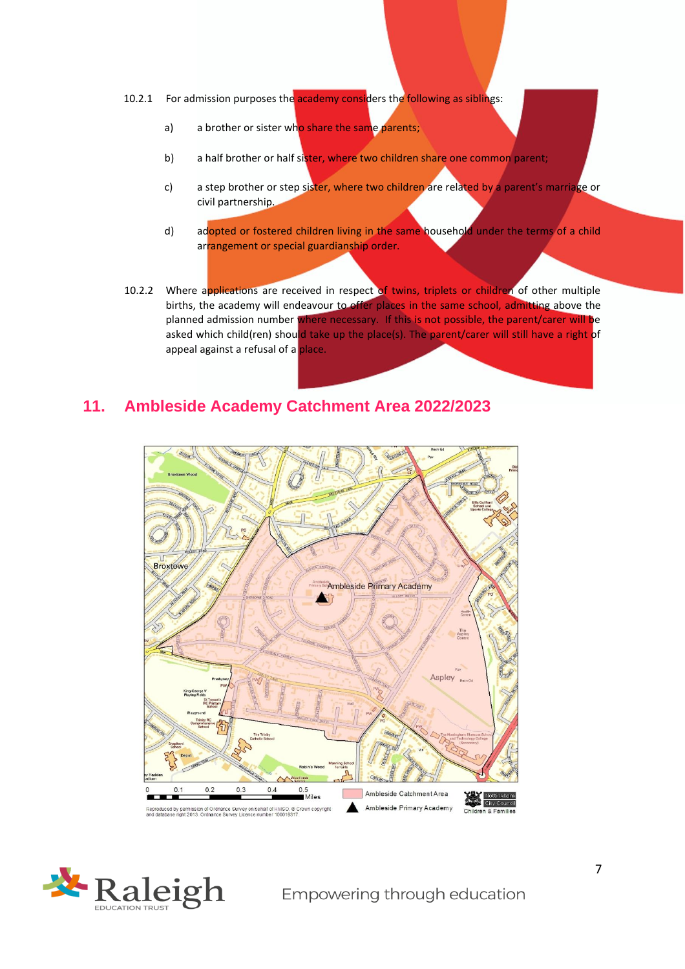- 10.2.1 For admission purposes the academy considers the following as siblings:
	- a) a brother or sister who share the same parents;
	- b) a half brother or half sister, where two children share one common parent;
	- c) a step brother or step sister, where two children are related by a parent's marriage or civil partnership.
	- d) adopted or fostered children living in the same household under the terms of a child arrangement or special guardianship order.
- 10.2.2 Where applications are received in respect of twins, triplets or children of other multiple births, the academy will endeavour to offer places in the same school, admitting above the planned admission number where necessary. If this is not possible, the parent/carer will be asked which child(ren) should take up the place(s). The parent/carer will still have a right of appeal against a refusal of a place.

#### <span id="page-6-0"></span>**11. Ambleside Academy Catchment Area 2022/2023**



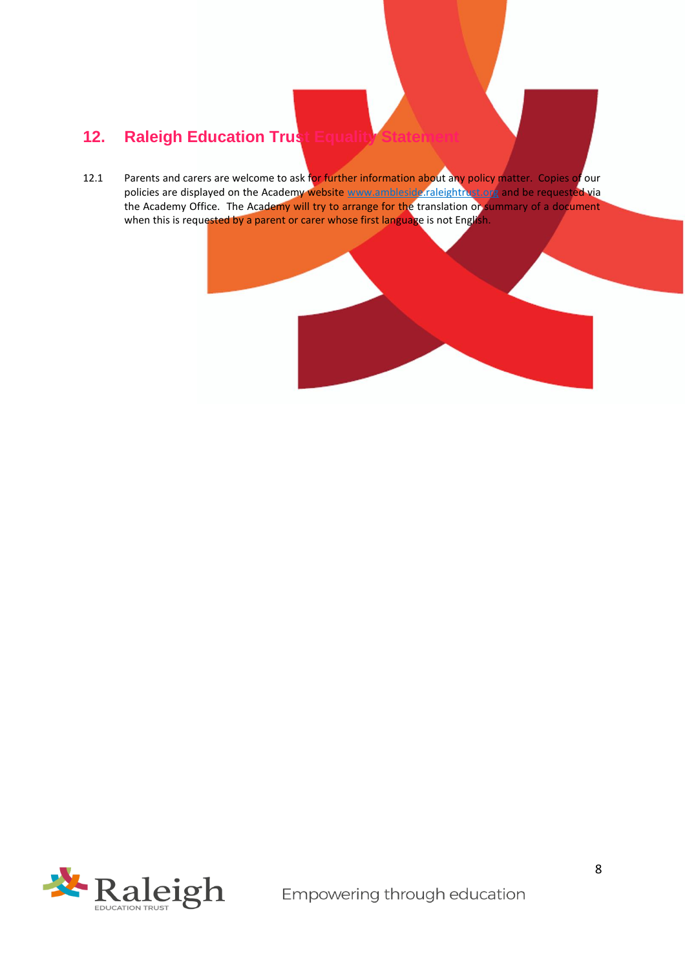### <span id="page-7-0"></span>**12. Raleigh Education Trust Equality**

12.1 Parents and carers are welcome to ask for further information about any policy matter. Copies of our policies are displayed on the Academy website [www.ambleside.raleightrust.org](http://www.ambleside.raleightrust.org/) [a](http://www.amblesideprimaryschool.co.uk/)nd be requested via the Academy Office. The Academy will try to arrange for the translation or summary of a document when this is requested by a parent or carer whose first language is not English.